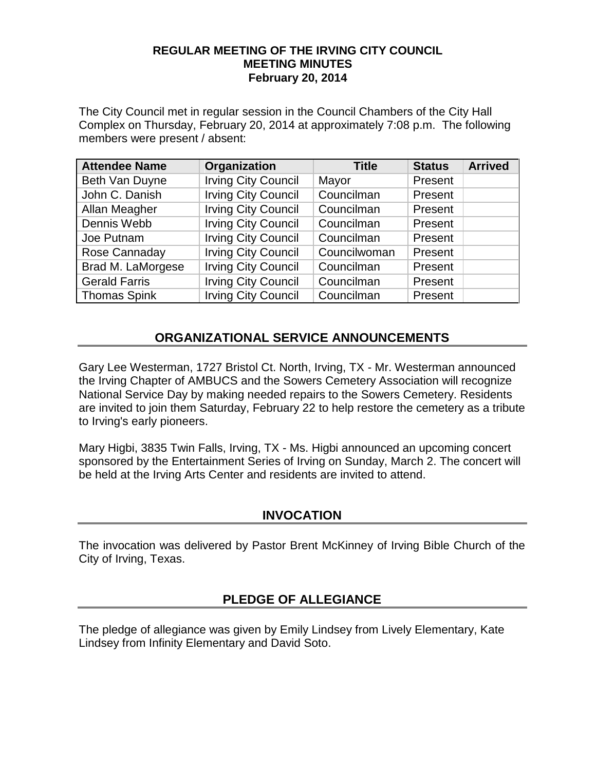#### **REGULAR MEETING OF THE IRVING CITY COUNCIL MEETING MINUTES February 20, 2014**

The City Council met in regular session in the Council Chambers of the City Hall Complex on Thursday, February 20, 2014 at approximately 7:08 p.m. The following members were present / absent:

| <b>Attendee Name</b> | Organization               | <b>Title</b> | <b>Status</b> | <b>Arrived</b> |
|----------------------|----------------------------|--------------|---------------|----------------|
| Beth Van Duyne       | <b>Irving City Council</b> | Mayor        | Present       |                |
| John C. Danish       | <b>Irving City Council</b> | Councilman   | Present       |                |
| Allan Meagher        | <b>Irving City Council</b> | Councilman   | Present       |                |
| Dennis Webb          | <b>Irving City Council</b> | Councilman   | Present       |                |
| Joe Putnam           | <b>Irving City Council</b> | Councilman   | Present       |                |
| Rose Cannaday        | <b>Irving City Council</b> | Councilwoman | Present       |                |
| Brad M. LaMorgese    | <b>Irving City Council</b> | Councilman   | Present       |                |
| <b>Gerald Farris</b> | <b>Irving City Council</b> | Councilman   | Present       |                |
| <b>Thomas Spink</b>  | <b>Irving City Council</b> | Councilman   | Present       |                |

# **ORGANIZATIONAL SERVICE ANNOUNCEMENTS**

Gary Lee Westerman, 1727 Bristol Ct. North, Irving, TX - Mr. Westerman announced the Irving Chapter of AMBUCS and the Sowers Cemetery Association will recognize National Service Day by making needed repairs to the Sowers Cemetery. Residents are invited to join them Saturday, February 22 to help restore the cemetery as a tribute to Irving's early pioneers.

Mary Higbi, 3835 Twin Falls, Irving, TX - Ms. Higbi announced an upcoming concert sponsored by the Entertainment Series of Irving on Sunday, March 2. The concert will be held at the Irving Arts Center and residents are invited to attend.

# **INVOCATION**

The invocation was delivered by Pastor Brent McKinney of Irving Bible Church of the City of Irving, Texas.

# **PLEDGE OF ALLEGIANCE**

The pledge of allegiance was given by Emily Lindsey from Lively Elementary, Kate Lindsey from Infinity Elementary and David Soto.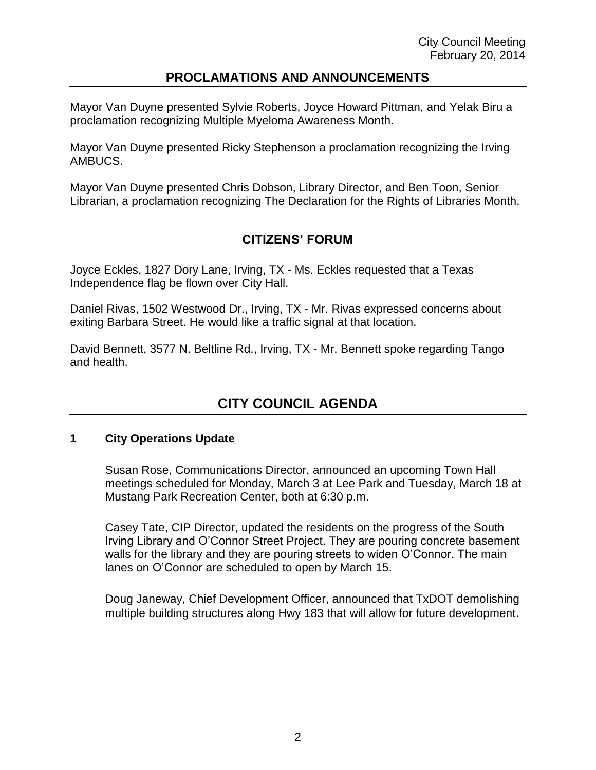# **PROCLAMATIONS AND ANNOUNCEMENTS**

Mayor Van Duyne presented Sylvie Roberts, Joyce Howard Pittman, and Yelak Biru a proclamation recognizing Multiple Myeloma Awareness Month.

Mayor Van Duyne presented Ricky Stephenson a proclamation recognizing the Irving AMBUCS.

Mayor Van Duyne presented Chris Dobson, Library Director, and Ben Toon, Senior Librarian, a proclamation recognizing The Declaration for the Rights of Libraries Month.

# **CITIZENS' FORUM**

Joyce Eckles, 1827 Dory Lane, Irving, TX - Ms. Eckles requested that a Texas Independence flag be flown over City Hall.

Daniel Rivas, 1502 Westwood Dr., Irving, TX - Mr. Rivas expressed concerns about exiting Barbara Street. He would like a traffic signal at that location.

David Bennett, 3577 N. Beltline Rd., Irving, TX - Mr. Bennett spoke regarding Tango and health.

# **CITY COUNCIL AGENDA**

#### **1 City Operations Update**

Susan Rose, Communications Director, announced an upcoming Town Hall meetings scheduled for Monday, March 3 at Lee Park and Tuesday, March 18 at Mustang Park Recreation Center, both at 6:30 p.m.

Casey Tate, CIP Director, updated the residents on the progress of the South Irving Library and O'Connor Street Project. They are pouring concrete basement walls for the library and they are pouring streets to widen O'Connor. The main lanes on O'Connor are scheduled to open by March 15.

Doug Janeway, Chief Development Officer, announced that TxDOT demolishing multiple building structures along Hwy 183 that will allow for future development.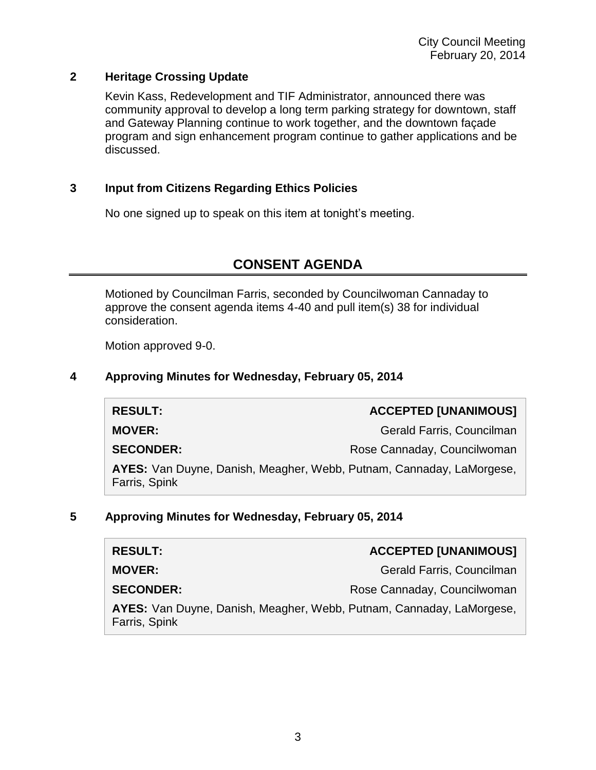#### **2 Heritage Crossing Update**

Kevin Kass, Redevelopment and TIF Administrator, announced there was community approval to develop a long term parking strategy for downtown, staff and Gateway Planning continue to work together, and the downtown façade program and sign enhancement program continue to gather applications and be discussed.

# **3 Input from Citizens Regarding Ethics Policies**

No one signed up to speak on this item at tonight's meeting.

# **CONSENT AGENDA**

Motioned by Councilman Farris, seconded by Councilwoman Cannaday to approve the consent agenda items 4-40 and pull item(s) 38 for individual consideration.

Motion approved 9-0.

#### **4 Approving Minutes for Wednesday, February 05, 2014**

| <b>RESULT:</b>                                                                        | <b>ACCEPTED [UNANIMOUS]</b> |
|---------------------------------------------------------------------------------------|-----------------------------|
| <b>MOVER:</b>                                                                         | Gerald Farris, Councilman   |
| <b>SECONDER:</b>                                                                      | Rose Cannaday, Councilwoman |
| AYES: Van Duyne, Danish, Meagher, Webb, Putnam, Cannaday, LaMorgese,<br>Farris, Spink |                             |

#### **5 Approving Minutes for Wednesday, February 05, 2014**

| <b>RESULT:</b>                                                                        | <b>ACCEPTED [UNANIMOUS]</b> |
|---------------------------------------------------------------------------------------|-----------------------------|
| <b>MOVER:</b>                                                                         | Gerald Farris, Councilman   |
| <b>SECONDER:</b>                                                                      | Rose Cannaday, Councilwoman |
| AYES: Van Duyne, Danish, Meagher, Webb, Putnam, Cannaday, LaMorgese,<br>Farris, Spink |                             |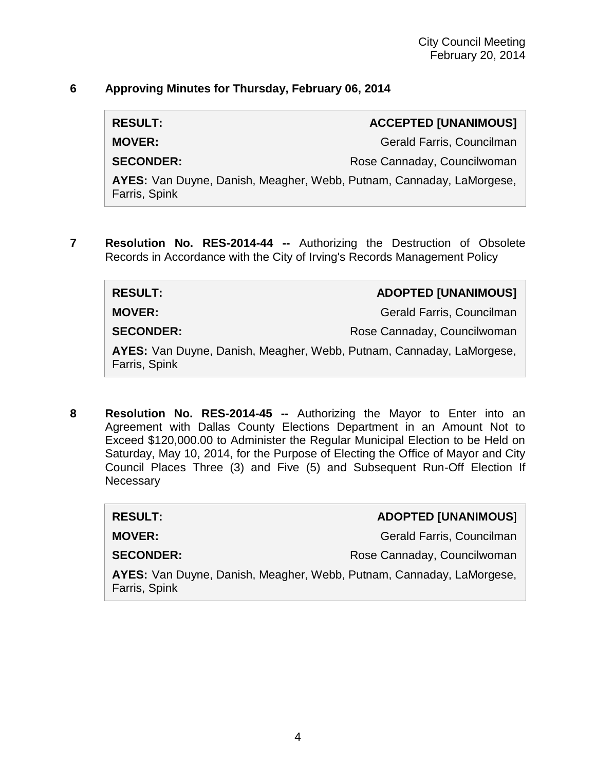# **6 Approving Minutes for Thursday, February 06, 2014**

| <b>RESULT:</b>                                                                        | <b>ACCEPTED [UNANIMOUS]</b> |
|---------------------------------------------------------------------------------------|-----------------------------|
| <b>MOVER:</b>                                                                         | Gerald Farris, Councilman   |
| <b>SECONDER:</b>                                                                      | Rose Cannaday, Councilwoman |
| AYES: Van Duyne, Danish, Meagher, Webb, Putnam, Cannaday, LaMorgese,<br>Farris, Spink |                             |

**7 Resolution No. RES-2014-44 --** Authorizing the Destruction of Obsolete Records in Accordance with the City of Irving's Records Management Policy

# **RESULT: ADOPTED [UNANIMOUS]**

**MOVER:** Gerald Farris, Councilman

**SECONDER:** Rose Cannaday, Councilwoman

**AYES:** Van Duyne, Danish, Meagher, Webb, Putnam, Cannaday, LaMorgese, Farris, Spink

**8 Resolution No. RES-2014-45 --** Authorizing the Mayor to Enter into an Agreement with Dallas County Elections Department in an Amount Not to Exceed \$120,000.00 to Administer the Regular Municipal Election to be Held on Saturday, May 10, 2014, for the Purpose of Electing the Office of Mayor and City Council Places Three (3) and Five (5) and Subsequent Run-Off Election If **Necessary** 

| <b>RESULT:</b>                                                                        | <b>ADOPTED [UNANIMOUS]</b>  |
|---------------------------------------------------------------------------------------|-----------------------------|
| <b>MOVER:</b>                                                                         | Gerald Farris, Councilman   |
| <b>SECONDER:</b>                                                                      | Rose Cannaday, Councilwoman |
| AYES: Van Duyne, Danish, Meagher, Webb, Putnam, Cannaday, LaMorgese,<br>Farris, Spink |                             |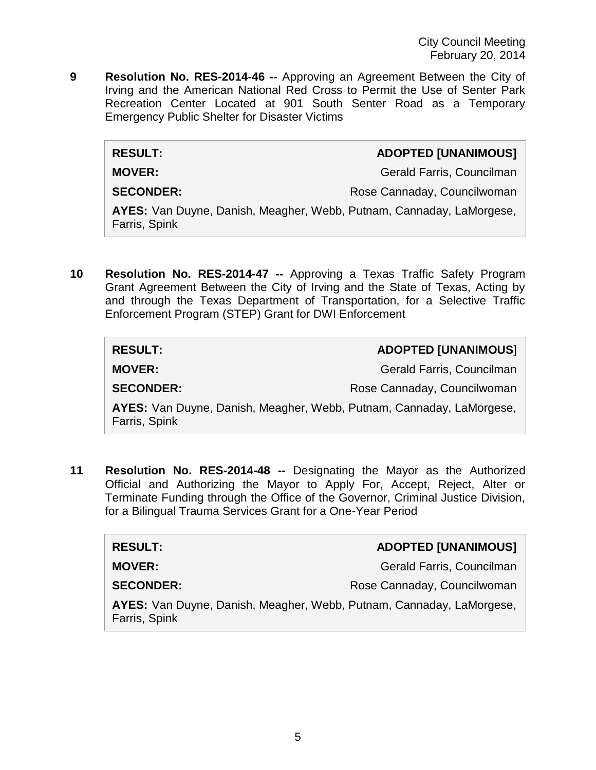**9 Resolution No. RES-2014-46 --** Approving an Agreement Between the City of Irving and the American National Red Cross to Permit the Use of Senter Park Recreation Center Located at 901 South Senter Road as a Temporary Emergency Public Shelter for Disaster Victims

#### **RESULT: ADOPTED [UNANIMOUS]**

**MOVER:** Gerald Farris, Councilman

**SECONDER:** Rose Cannaday, Councilwoman

**AYES:** Van Duyne, Danish, Meagher, Webb, Putnam, Cannaday, LaMorgese, Farris, Spink

**10 Resolution No. RES-2014-47 --** Approving a Texas Traffic Safety Program Grant Agreement Between the City of Irving and the State of Texas, Acting by and through the Texas Department of Transportation, for a Selective Traffic Enforcement Program (STEP) Grant for DWI Enforcement

| <b>RESULT:</b>                                                                        | <b>ADOPTED [UNANIMOUS]</b>  |
|---------------------------------------------------------------------------------------|-----------------------------|
| <b>MOVER:</b>                                                                         | Gerald Farris, Councilman   |
| <b>SECONDER:</b>                                                                      | Rose Cannaday, Councilwoman |
| AYES: Van Duyne, Danish, Meagher, Webb, Putnam, Cannaday, LaMorgese,<br>Farris, Spink |                             |

**11 Resolution No. RES-2014-48 --** Designating the Mayor as the Authorized Official and Authorizing the Mayor to Apply For, Accept, Reject, Alter or Terminate Funding through the Office of the Governor, Criminal Justice Division, for a Bilingual Trauma Services Grant for a One-Year Period

| <b>RESULT:</b>                                                                        | <b>ADOPTED [UNANIMOUS]</b>  |
|---------------------------------------------------------------------------------------|-----------------------------|
| <b>MOVER:</b>                                                                         | Gerald Farris, Councilman   |
| <b>SECONDER:</b>                                                                      | Rose Cannaday, Councilwoman |
| AYES: Van Duyne, Danish, Meagher, Webb, Putnam, Cannaday, LaMorgese,<br>Farris, Spink |                             |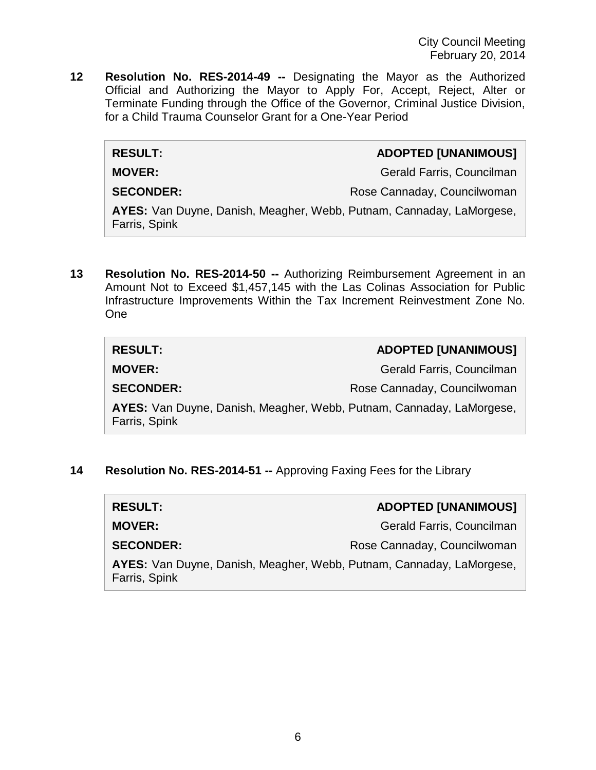**12 Resolution No. RES-2014-49 --** Designating the Mayor as the Authorized Official and Authorizing the Mayor to Apply For, Accept, Reject, Alter or Terminate Funding through the Office of the Governor, Criminal Justice Division, for a Child Trauma Counselor Grant for a One-Year Period

 $RESULT:$ 

**MOVER:** Gerald Farris, Councilman

**SECONDER:** Rose Cannaday, Councilwoman

**AYES:** Van Duyne, Danish, Meagher, Webb, Putnam, Cannaday, LaMorgese, Farris, Spink

**13 Resolution No. RES-2014-50 --** Authorizing Reimbursement Agreement in an Amount Not to Exceed \$1,457,145 with the Las Colinas Association for Public Infrastructure Improvements Within the Tax Increment Reinvestment Zone No. One

| <b>RESULT:</b>                                                                        | <b>ADOPTED [UNANIMOUS]</b>  |
|---------------------------------------------------------------------------------------|-----------------------------|
| <b>MOVER:</b>                                                                         | Gerald Farris, Councilman   |
| <b>SECONDER:</b>                                                                      | Rose Cannaday, Councilwoman |
| AYES: Van Duyne, Danish, Meagher, Webb, Putnam, Cannaday, LaMorgese,<br>Farris, Spink |                             |

**14 Resolution No. RES-2014-51 --** Approving Faxing Fees for the Library

| <b>RESULT:</b>                                                                        | <b>ADOPTED [UNANIMOUS]</b>  |
|---------------------------------------------------------------------------------------|-----------------------------|
| <b>MOVER:</b>                                                                         | Gerald Farris, Councilman   |
| <b>SECONDER:</b>                                                                      | Rose Cannaday, Councilwoman |
| AYES: Van Duyne, Danish, Meagher, Webb, Putnam, Cannaday, LaMorgese,<br>Farris, Spink |                             |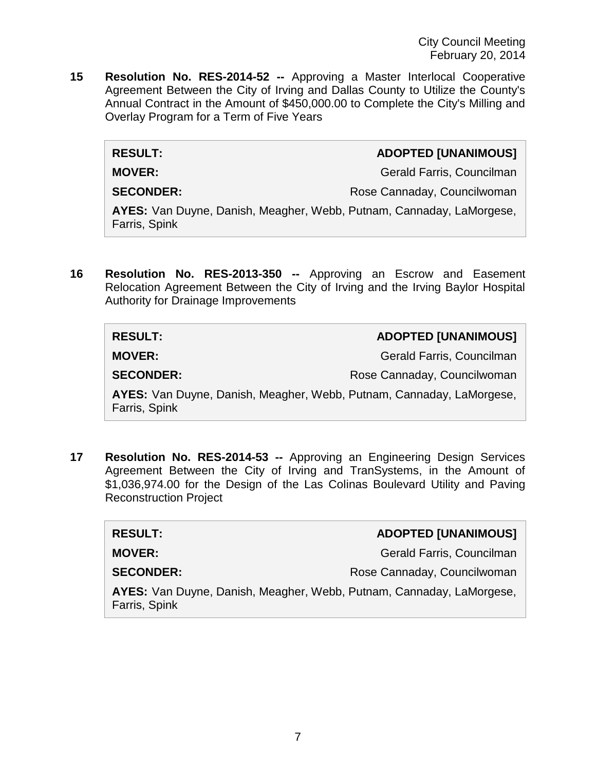**15 Resolution No. RES-2014-52 --** Approving a Master Interlocal Cooperative Agreement Between the City of Irving and Dallas County to Utilize the County's Annual Contract in the Amount of \$450,000.00 to Complete the City's Milling and Overlay Program for a Term of Five Years

#### **RESULT: ADOPTED [UNANIMOUS]**

**MOVER:** Gerald Farris, Councilman

**SECONDER:** Rose Cannaday, Councilwoman

**AYES:** Van Duyne, Danish, Meagher, Webb, Putnam, Cannaday, LaMorgese, Farris, Spink

**16 Resolution No. RES-2013-350 --** Approving an Escrow and Easement Relocation Agreement Between the City of Irving and the Irving Baylor Hospital Authority for Drainage Improvements

| <b>RESULT:</b>                                                                        | <b>ADOPTED [UNANIMOUS]</b>  |
|---------------------------------------------------------------------------------------|-----------------------------|
| <b>MOVER:</b>                                                                         | Gerald Farris, Councilman   |
| <b>SECONDER:</b>                                                                      | Rose Cannaday, Councilwoman |
| AYES: Van Duyne, Danish, Meagher, Webb, Putnam, Cannaday, LaMorgese,<br>Farris, Spink |                             |

**17 Resolution No. RES-2014-53 --** Approving an Engineering Design Services Agreement Between the City of Irving and TranSystems, in the Amount of \$1,036,974.00 for the Design of the Las Colinas Boulevard Utility and Paving Reconstruction Project

| <b>RESULT:</b>                                                                        | <b>ADOPTED [UNANIMOUS]</b>  |  |
|---------------------------------------------------------------------------------------|-----------------------------|--|
| <b>MOVER:</b>                                                                         | Gerald Farris, Councilman   |  |
| <b>SECONDER:</b>                                                                      | Rose Cannaday, Councilwoman |  |
| AYES: Van Duyne, Danish, Meagher, Webb, Putnam, Cannaday, LaMorgese,<br>Farris, Spink |                             |  |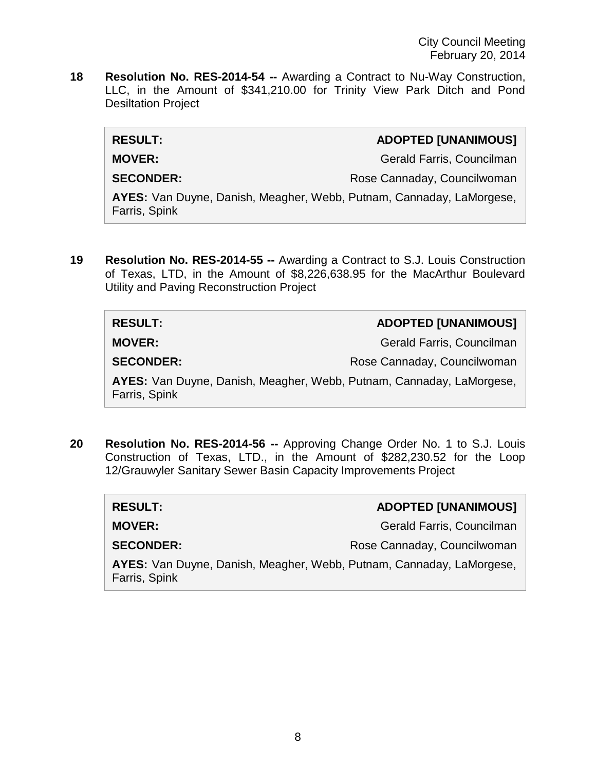**18 Resolution No. RES-2014-54 --** Awarding a Contract to Nu-Way Construction, LLC, in the Amount of \$341,210.00 for Trinity View Park Ditch and Pond Desiltation Project

| <b>RESULT:</b>                                                                        | <b>ADOPTED [UNANIMOUS]</b>  |
|---------------------------------------------------------------------------------------|-----------------------------|
| <b>MOVER:</b>                                                                         | Gerald Farris, Councilman   |
| <b>SECONDER:</b>                                                                      | Rose Cannaday, Councilwoman |
| AYES: Van Duyne, Danish, Meagher, Webb, Putnam, Cannaday, LaMorgese,<br>Farris, Spink |                             |
|                                                                                       |                             |

**19 Resolution No. RES-2014-55 --** Awarding a Contract to S.J. Louis Construction of Texas, LTD, in the Amount of \$8,226,638.95 for the MacArthur Boulevard Utility and Paving Reconstruction Project

| <b>RESULT:</b>                                                                        | <b>ADOPTED [UNANIMOUS]</b>  |
|---------------------------------------------------------------------------------------|-----------------------------|
| <b>MOVER:</b>                                                                         | Gerald Farris, Councilman   |
| <b>SECONDER:</b>                                                                      | Rose Cannaday, Councilwoman |
| AYES: Van Duyne, Danish, Meagher, Webb, Putnam, Cannaday, LaMorgese,<br>Farris, Spink |                             |

**20 Resolution No. RES-2014-56 --** Approving Change Order No. 1 to S.J. Louis Construction of Texas, LTD., in the Amount of \$282,230.52 for the Loop 12/Grauwyler Sanitary Sewer Basin Capacity Improvements Project

| <b>RESULT:</b>                                                                        | <b>ADOPTED [UNANIMOUS]</b>  |
|---------------------------------------------------------------------------------------|-----------------------------|
| <b>MOVER:</b>                                                                         | Gerald Farris, Councilman   |
| <b>SECONDER:</b>                                                                      | Rose Cannaday, Councilwoman |
| AYES: Van Duyne, Danish, Meagher, Webb, Putnam, Cannaday, LaMorgese,<br>Farris, Spink |                             |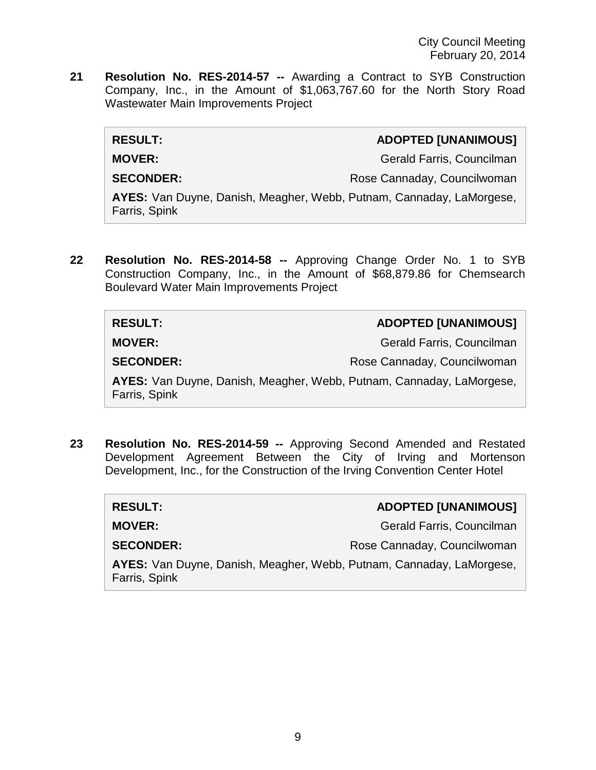**21 Resolution No. RES-2014-57 --** Awarding a Contract to SYB Construction Company, Inc., in the Amount of \$1,063,767.60 for the North Story Road Wastewater Main Improvements Project

| <b>RESULT:</b>                                                                        | <b>ADOPTED [UNANIMOUS]</b>  |
|---------------------------------------------------------------------------------------|-----------------------------|
| <b>MOVER:</b>                                                                         | Gerald Farris, Councilman   |
| <b>SECONDER:</b>                                                                      | Rose Cannaday, Councilwoman |
| AYES: Van Duyne, Danish, Meagher, Webb, Putnam, Cannaday, LaMorgese,<br>Farris, Spink |                             |

**22 Resolution No. RES-2014-58 --** Approving Change Order No. 1 to SYB Construction Company, Inc., in the Amount of \$68,879.86 for Chemsearch Boulevard Water Main Improvements Project

| <b>RESULT:</b>                                                                        | <b>ADOPTED [UNANIMOUS]</b>  |
|---------------------------------------------------------------------------------------|-----------------------------|
| <b>MOVER:</b>                                                                         | Gerald Farris, Councilman   |
| <b>SECONDER:</b>                                                                      | Rose Cannaday, Councilwoman |
| AYES: Van Duyne, Danish, Meagher, Webb, Putnam, Cannaday, LaMorgese,<br>Farris, Spink |                             |

**23 Resolution No. RES-2014-59 --** Approving Second Amended and Restated Development Agreement Between the City of Irving and Mortenson Development, Inc., for the Construction of the Irving Convention Center Hotel

| <b>RESULT:</b>                                                                        | <b>ADOPTED [UNANIMOUS]</b>  |
|---------------------------------------------------------------------------------------|-----------------------------|
| <b>MOVER:</b>                                                                         | Gerald Farris, Councilman   |
| <b>SECONDER:</b>                                                                      | Rose Cannaday, Councilwoman |
| AYES: Van Duyne, Danish, Meagher, Webb, Putnam, Cannaday, LaMorgese,<br>Farris, Spink |                             |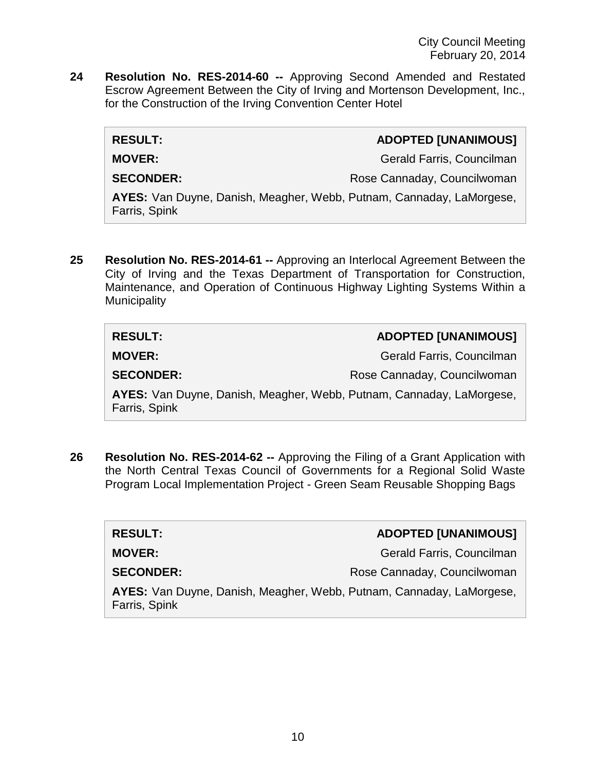**24 Resolution No. RES-2014-60 --** Approving Second Amended and Restated Escrow Agreement Between the City of Irving and Mortenson Development, Inc., for the Construction of the Irving Convention Center Hotel

| <b>RESULT:</b>                                                                        | <b>ADOPTED [UNANIMOUS]</b>  |
|---------------------------------------------------------------------------------------|-----------------------------|
| <b>MOVER:</b>                                                                         | Gerald Farris, Councilman   |
| <b>SECONDER:</b>                                                                      | Rose Cannaday, Councilwoman |
| AYES: Van Duyne, Danish, Meagher, Webb, Putnam, Cannaday, LaMorgese,<br>Farris, Spink |                             |
|                                                                                       |                             |

**25 Resolution No. RES-2014-61 --** Approving an Interlocal Agreement Between the City of Irving and the Texas Department of Transportation for Construction, Maintenance, and Operation of Continuous Highway Lighting Systems Within a **Municipality** 

| <b>RESULT:</b>                                                                        | <b>ADOPTED [UNANIMOUS]</b>  |
|---------------------------------------------------------------------------------------|-----------------------------|
| <b>MOVER:</b>                                                                         | Gerald Farris, Councilman   |
| <b>SECONDER:</b>                                                                      | Rose Cannaday, Councilwoman |
| AYES: Van Duyne, Danish, Meagher, Webb, Putnam, Cannaday, LaMorgese,<br>Farris, Spink |                             |

**26 Resolution No. RES-2014-62 --** Approving the Filing of a Grant Application with the North Central Texas Council of Governments for a Regional Solid Waste Program Local Implementation Project - Green Seam Reusable Shopping Bags

| <b>RESULT:</b>                                                                        | <b>ADOPTED [UNANIMOUS]</b>  |
|---------------------------------------------------------------------------------------|-----------------------------|
| <b>MOVER:</b>                                                                         | Gerald Farris, Councilman   |
| <b>SECONDER:</b>                                                                      | Rose Cannaday, Councilwoman |
| AYES: Van Duyne, Danish, Meagher, Webb, Putnam, Cannaday, LaMorgese,<br>Farris, Spink |                             |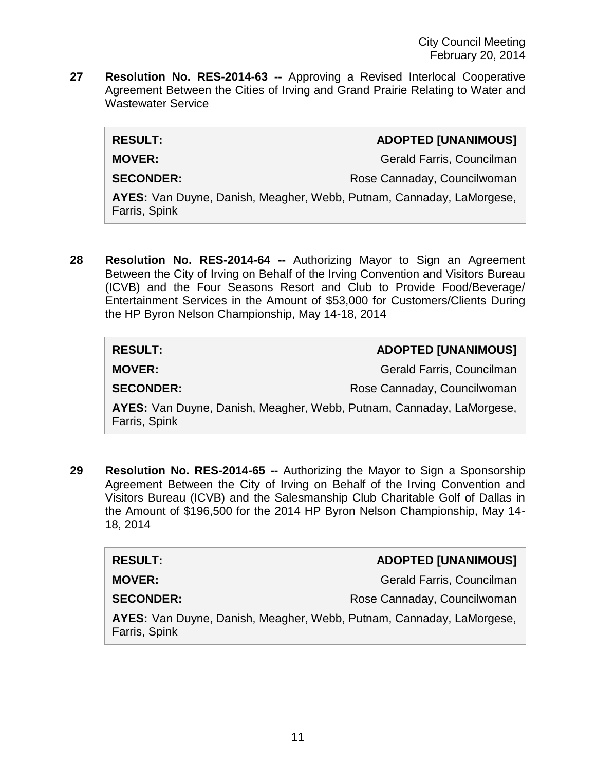**27 Resolution No. RES-2014-63 --** Approving a Revised Interlocal Cooperative Agreement Between the Cities of Irving and Grand Prairie Relating to Water and Wastewater Service

| <b>RESULT:</b>                                                                        | ADOPTED [UNANIMOUS]         |
|---------------------------------------------------------------------------------------|-----------------------------|
| <b>MOVER:</b>                                                                         | Gerald Farris, Councilman   |
| <b>SECONDER:</b>                                                                      | Rose Cannaday, Councilwoman |
| AYES: Van Duyne, Danish, Meagher, Webb, Putnam, Cannaday, LaMorgese,<br>Farris, Spink |                             |
|                                                                                       |                             |

**28 Resolution No. RES-2014-64 --** Authorizing Mayor to Sign an Agreement Between the City of Irving on Behalf of the Irving Convention and Visitors Bureau (ICVB) and the Four Seasons Resort and Club to Provide Food/Beverage/ Entertainment Services in the Amount of \$53,000 for Customers/Clients During the HP Byron Nelson Championship, May 14-18, 2014

| <b>RESULT:</b>                                                                        | <b>ADOPTED [UNANIMOUS]</b>  |
|---------------------------------------------------------------------------------------|-----------------------------|
| <b>MOVER:</b>                                                                         | Gerald Farris, Councilman   |
| <b>SECONDER:</b>                                                                      | Rose Cannaday, Councilwoman |
| AYES: Van Duyne, Danish, Meagher, Webb, Putnam, Cannaday, LaMorgese,<br>Farris, Spink |                             |

**29 Resolution No. RES-2014-65 --** Authorizing the Mayor to Sign a Sponsorship Agreement Between the City of Irving on Behalf of the Irving Convention and Visitors Bureau (ICVB) and the Salesmanship Club Charitable Golf of Dallas in the Amount of \$196,500 for the 2014 HP Byron Nelson Championship, May 14- 18, 2014

| <b>RESULT:</b>                                                                        | <b>ADOPTED [UNANIMOUS]</b>  |
|---------------------------------------------------------------------------------------|-----------------------------|
| <b>MOVER:</b>                                                                         | Gerald Farris, Councilman   |
| <b>SECONDER:</b>                                                                      | Rose Cannaday, Councilwoman |
| AYES: Van Duyne, Danish, Meagher, Webb, Putnam, Cannaday, LaMorgese,<br>Farris, Spink |                             |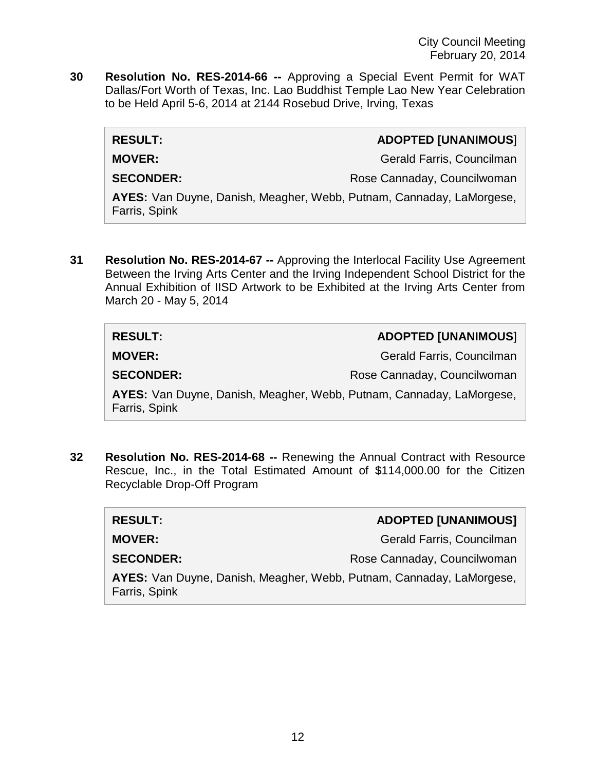**30 Resolution No. RES-2014-66 --** Approving a Special Event Permit for WAT Dallas/Fort Worth of Texas, Inc. Lao Buddhist Temple Lao New Year Celebration to be Held April 5-6, 2014 at 2144 Rosebud Drive, Irving, Texas

| <b>RESULT:</b>                                                                        | <b>ADOPTED [UNANIMOUS]</b>  |
|---------------------------------------------------------------------------------------|-----------------------------|
| <b>MOVER:</b>                                                                         | Gerald Farris, Councilman   |
| <b>SECONDER:</b>                                                                      | Rose Cannaday, Councilwoman |
| AYES: Van Duyne, Danish, Meagher, Webb, Putnam, Cannaday, LaMorgese,<br>Farris, Spink |                             |
|                                                                                       |                             |

**31 Resolution No. RES-2014-67 --** Approving the Interlocal Facility Use Agreement Between the Irving Arts Center and the Irving Independent School District for the Annual Exhibition of IISD Artwork to be Exhibited at the Irving Arts Center from March 20 - May 5, 2014

| <b>RESULT:</b>                                                                        | <b>ADOPTED [UNANIMOUS]</b>  |
|---------------------------------------------------------------------------------------|-----------------------------|
| <b>MOVER:</b>                                                                         | Gerald Farris, Councilman   |
| <b>SECONDER:</b>                                                                      | Rose Cannaday, Councilwoman |
| AYES: Van Duyne, Danish, Meagher, Webb, Putnam, Cannaday, LaMorgese,<br>Farris, Spink |                             |

**32 Resolution No. RES-2014-68 --** Renewing the Annual Contract with Resource Rescue, Inc., in the Total Estimated Amount of \$114,000.00 for the Citizen Recyclable Drop-Off Program

| <b>RESULT:</b>                                                                        | <b>ADOPTED [UNANIMOUS]</b>  |
|---------------------------------------------------------------------------------------|-----------------------------|
| <b>MOVER:</b>                                                                         | Gerald Farris, Councilman   |
| <b>SECONDER:</b>                                                                      | Rose Cannaday, Councilwoman |
| AYES: Van Duyne, Danish, Meagher, Webb, Putnam, Cannaday, LaMorgese,<br>Farris, Spink |                             |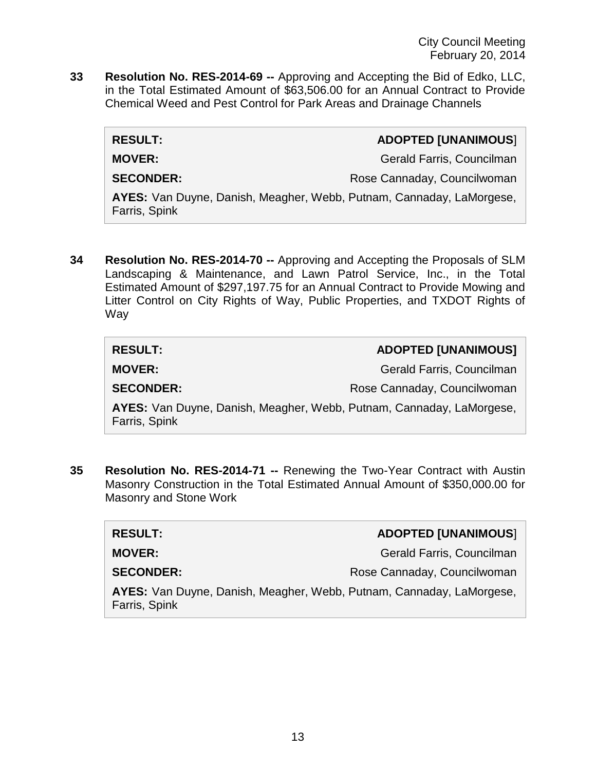**33 Resolution No. RES-2014-69 --** Approving and Accepting the Bid of Edko, LLC, in the Total Estimated Amount of \$63,506.00 for an Annual Contract to Provide Chemical Weed and Pest Control for Park Areas and Drainage Channels

| <b>ADOPTED [UNANIMOUS]</b>                                           |
|----------------------------------------------------------------------|
| Gerald Farris, Councilman                                            |
| Rose Cannaday, Councilwoman                                          |
| AYES: Van Duyne, Danish, Meagher, Webb, Putnam, Cannaday, LaMorgese, |
|                                                                      |

**34 Resolution No. RES-2014-70 --** Approving and Accepting the Proposals of SLM Landscaping & Maintenance, and Lawn Patrol Service, Inc., in the Total Estimated Amount of \$297,197.75 for an Annual Contract to Provide Mowing and Litter Control on City Rights of Way, Public Properties, and TXDOT Rights of Way

| <b>RESULT:</b>                                                                        | <b>ADOPTED [UNANIMOUS]</b>  |
|---------------------------------------------------------------------------------------|-----------------------------|
| <b>MOVER:</b>                                                                         | Gerald Farris, Councilman   |
| <b>SECONDER:</b>                                                                      | Rose Cannaday, Councilwoman |
| AYES: Van Duyne, Danish, Meagher, Webb, Putnam, Cannaday, LaMorgese,<br>Farris, Spink |                             |

**35 Resolution No. RES-2014-71 --** Renewing the Two-Year Contract with Austin Masonry Construction in the Total Estimated Annual Amount of \$350,000.00 for Masonry and Stone Work

| <b>RESULT:</b>                                                                        | <b>ADOPTED [UNANIMOUS]</b>  |
|---------------------------------------------------------------------------------------|-----------------------------|
| <b>MOVER:</b>                                                                         | Gerald Farris, Councilman   |
| <b>SECONDER:</b>                                                                      | Rose Cannaday, Councilwoman |
| AYES: Van Duyne, Danish, Meagher, Webb, Putnam, Cannaday, LaMorgese,<br>Farris, Spink |                             |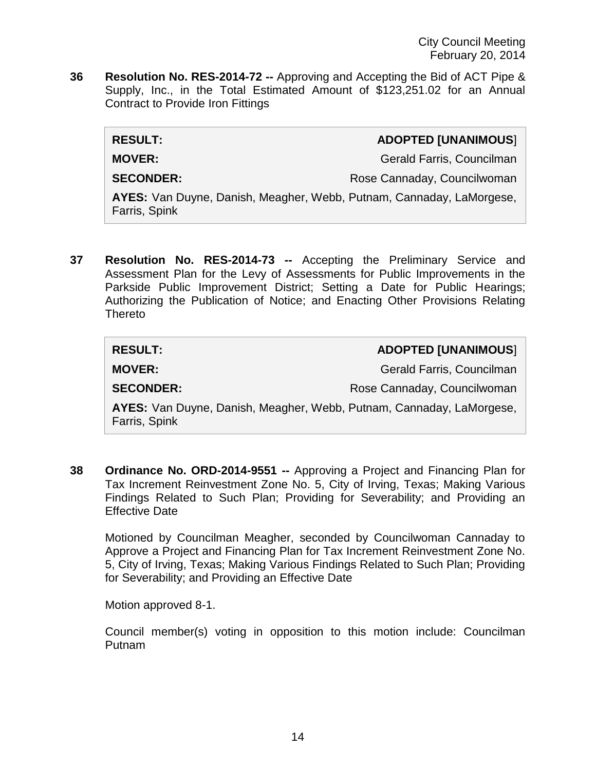**36 Resolution No. RES-2014-72 --** Approving and Accepting the Bid of ACT Pipe & Supply, Inc., in the Total Estimated Amount of \$123,251.02 for an Annual Contract to Provide Iron Fittings

| <b>RESULT:</b>                                                                        | <b>ADOPTED [UNANIMOUS]</b>  |
|---------------------------------------------------------------------------------------|-----------------------------|
| <b>MOVER:</b>                                                                         | Gerald Farris, Councilman   |
| <b>SECONDER:</b>                                                                      | Rose Cannaday, Councilwoman |
| AYES: Van Duyne, Danish, Meagher, Webb, Putnam, Cannaday, LaMorgese,<br>Farris, Spink |                             |

**37 Resolution No. RES-2014-73 --** Accepting the Preliminary Service and Assessment Plan for the Levy of Assessments for Public Improvements in the Parkside Public Improvement District; Setting a Date for Public Hearings; Authorizing the Publication of Notice; and Enacting Other Provisions Relating Thereto

| <b>RESULT:</b>                                                                        | <b>ADOPTED [UNANIMOUS]</b>  |
|---------------------------------------------------------------------------------------|-----------------------------|
| <b>MOVER:</b>                                                                         | Gerald Farris, Councilman   |
| <b>SECONDER:</b>                                                                      | Rose Cannaday, Councilwoman |
| AYES: Van Duyne, Danish, Meagher, Webb, Putnam, Cannaday, LaMorgese,<br>Farris, Spink |                             |

**38 Ordinance No. ORD-2014-9551 --** Approving a Project and Financing Plan for Tax Increment Reinvestment Zone No. 5, City of Irving, Texas; Making Various Findings Related to Such Plan; Providing for Severability; and Providing an Effective Date

Motioned by Councilman Meagher, seconded by Councilwoman Cannaday to Approve a Project and Financing Plan for Tax Increment Reinvestment Zone No. 5, City of Irving, Texas; Making Various Findings Related to Such Plan; Providing for Severability; and Providing an Effective Date

Motion approved 8-1.

Council member(s) voting in opposition to this motion include: Councilman Putnam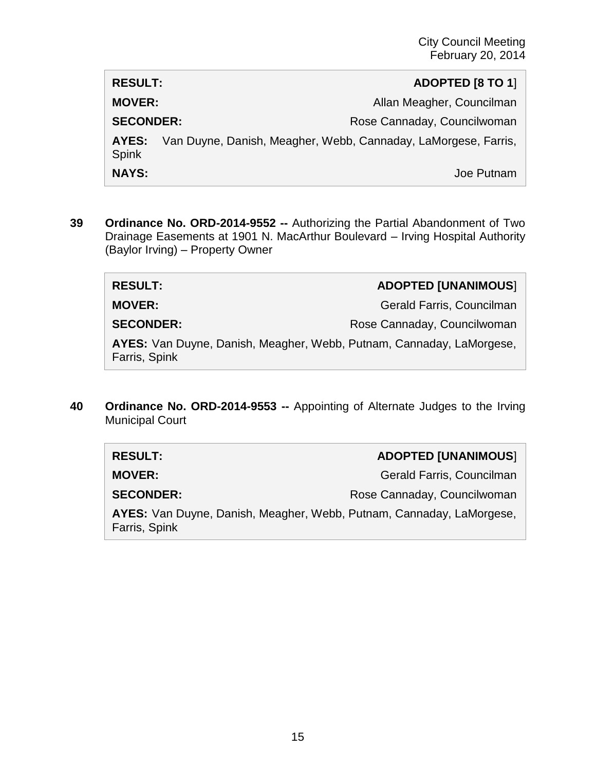| <b>RESULT:</b>        | ADOPTED [8 TO 1]                                               |
|-----------------------|----------------------------------------------------------------|
| <b>MOVER:</b>         | Allan Meagher, Councilman                                      |
| <b>SECONDER:</b>      | Rose Cannaday, Councilwoman                                    |
| AYES:<br><b>Spink</b> | Van Duyne, Danish, Meagher, Webb, Cannaday, LaMorgese, Farris, |
| <b>NAYS:</b>          | Joe Putnam                                                     |

**39 Ordinance No. ORD-2014-9552 --** Authorizing the Partial Abandonment of Two Drainage Easements at 1901 N. MacArthur Boulevard – Irving Hospital Authority (Baylor Irving) – Property Owner

| <b>RESULT:</b>                                                                        | <b>ADOPTED [UNANIMOUS]</b>  |
|---------------------------------------------------------------------------------------|-----------------------------|
| <b>MOVER:</b>                                                                         | Gerald Farris, Councilman   |
| <b>SECONDER:</b>                                                                      | Rose Cannaday, Councilwoman |
| AYES: Van Duyne, Danish, Meagher, Webb, Putnam, Cannaday, LaMorgese,<br>Farris, Spink |                             |

**40 Ordinance No. ORD-2014-9553 --** Appointing of Alternate Judges to the Irving Municipal Court

| <b>RESULT:</b>                                                                        | <b>ADOPTED [UNANIMOUS]</b>  |
|---------------------------------------------------------------------------------------|-----------------------------|
| <b>MOVER:</b>                                                                         | Gerald Farris, Councilman   |
| <b>SECONDER:</b>                                                                      | Rose Cannaday, Councilwoman |
| AYES: Van Duyne, Danish, Meagher, Webb, Putnam, Cannaday, LaMorgese,<br>Farris, Spink |                             |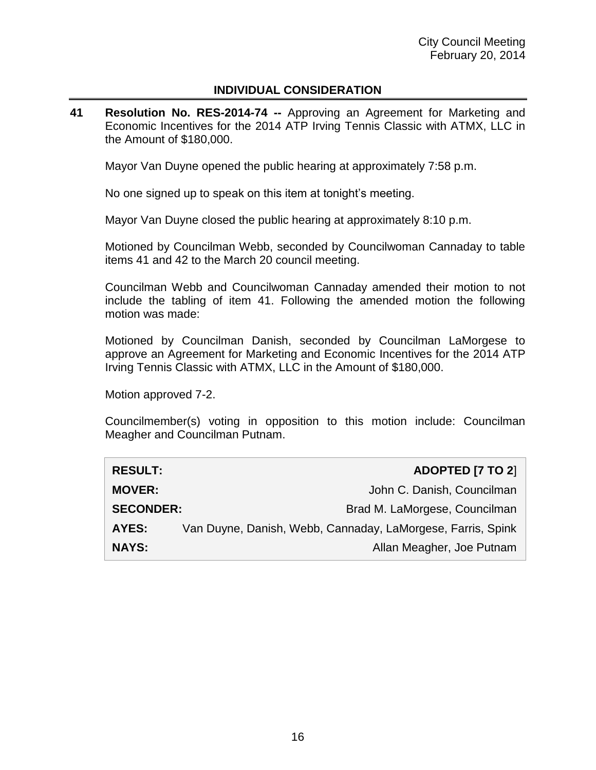### **INDIVIDUAL CONSIDERATION**

**41 Resolution No. RES-2014-74 --** Approving an Agreement for Marketing and Economic Incentives for the 2014 ATP Irving Tennis Classic with ATMX, LLC in the Amount of \$180,000.

Mayor Van Duyne opened the public hearing at approximately 7:58 p.m.

No one signed up to speak on this item at tonight's meeting.

Mayor Van Duyne closed the public hearing at approximately 8:10 p.m.

Motioned by Councilman Webb, seconded by Councilwoman Cannaday to table items 41 and 42 to the March 20 council meeting.

Councilman Webb and Councilwoman Cannaday amended their motion to not include the tabling of item 41. Following the amended motion the following motion was made:

Motioned by Councilman Danish, seconded by Councilman LaMorgese to approve an Agreement for Marketing and Economic Incentives for the 2014 ATP Irving Tennis Classic with ATMX, LLC in the Amount of \$180,000.

Motion approved 7-2.

Councilmember(s) voting in opposition to this motion include: Councilman Meagher and Councilman Putnam.

| <b>RESULT:</b>   | <b>ADOPTED [7 TO 2]</b>                                     |
|------------------|-------------------------------------------------------------|
| <b>MOVER:</b>    | John C. Danish, Councilman                                  |
| <b>SECONDER:</b> | Brad M. LaMorgese, Councilman                               |
| <b>AYES:</b>     | Van Duyne, Danish, Webb, Cannaday, LaMorgese, Farris, Spink |
| <b>NAYS:</b>     | Allan Meagher, Joe Putnam                                   |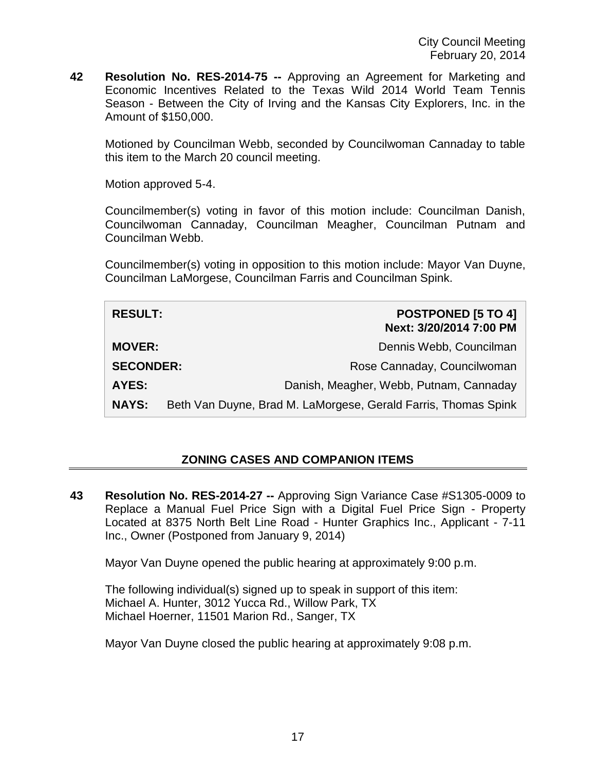**42 Resolution No. RES-2014-75 --** Approving an Agreement for Marketing and Economic Incentives Related to the Texas Wild 2014 World Team Tennis Season - Between the City of Irving and the Kansas City Explorers, Inc. in the Amount of \$150,000.

Motioned by Councilman Webb, seconded by Councilwoman Cannaday to table this item to the March 20 council meeting.

Motion approved 5-4.

Councilmember(s) voting in favor of this motion include: Councilman Danish, Councilwoman Cannaday, Councilman Meagher, Councilman Putnam and Councilman Webb.

Councilmember(s) voting in opposition to this motion include: Mayor Van Duyne, Councilman LaMorgese, Councilman Farris and Councilman Spink.

| <b>RESULT:</b>   | <b>POSTPONED [5 TO 4]</b><br>Next: 3/20/2014 7:00 PM           |
|------------------|----------------------------------------------------------------|
| <b>MOVER:</b>    | Dennis Webb, Councilman                                        |
| <b>SECONDER:</b> | Rose Cannaday, Councilwoman                                    |
| <b>AYES:</b>     | Danish, Meagher, Webb, Putnam, Cannaday                        |
| <b>NAYS:</b>     | Beth Van Duyne, Brad M. LaMorgese, Gerald Farris, Thomas Spink |

# **ZONING CASES AND COMPANION ITEMS**

**43 Resolution No. RES-2014-27 --** Approving Sign Variance Case #S1305-0009 to Replace a Manual Fuel Price Sign with a Digital Fuel Price Sign - Property Located at 8375 North Belt Line Road - Hunter Graphics Inc., Applicant - 7-11 Inc., Owner (Postponed from January 9, 2014)

Mayor Van Duyne opened the public hearing at approximately 9:00 p.m.

The following individual(s) signed up to speak in support of this item: Michael A. Hunter, 3012 Yucca Rd., Willow Park, TX Michael Hoerner, 11501 Marion Rd., Sanger, TX

Mayor Van Duyne closed the public hearing at approximately 9:08 p.m.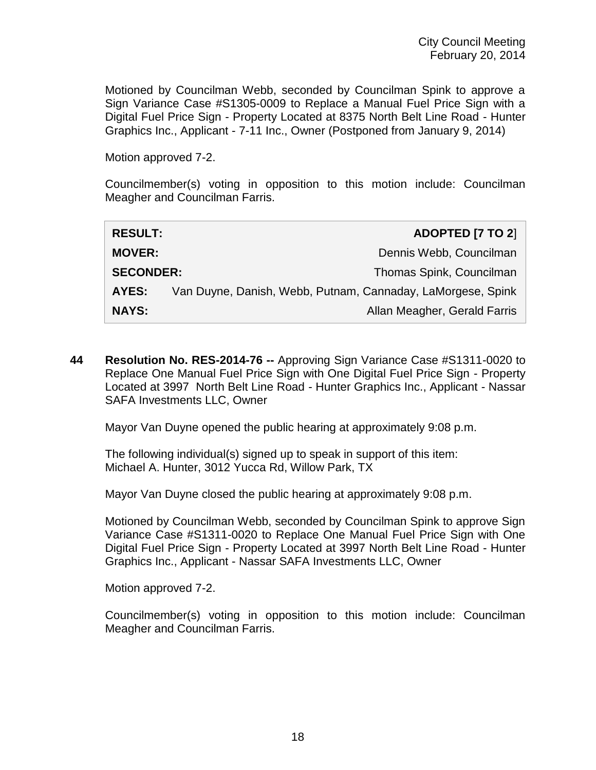Motioned by Councilman Webb, seconded by Councilman Spink to approve a Sign Variance Case #S1305-0009 to Replace a Manual Fuel Price Sign with a Digital Fuel Price Sign - Property Located at 8375 North Belt Line Road - Hunter Graphics Inc., Applicant - 7-11 Inc., Owner (Postponed from January 9, 2014)

Motion approved 7-2.

Councilmember(s) voting in opposition to this motion include: Councilman Meagher and Councilman Farris.

| <b>RESULT:</b>   | ADOPTED [7 TO 2]                                            |
|------------------|-------------------------------------------------------------|
| <b>MOVER:</b>    | Dennis Webb, Councilman                                     |
| <b>SECONDER:</b> | Thomas Spink, Councilman                                    |
| AYES:            | Van Duyne, Danish, Webb, Putnam, Cannaday, LaMorgese, Spink |
| <b>NAYS:</b>     | Allan Meagher, Gerald Farris                                |

**44 Resolution No. RES-2014-76 --** Approving Sign Variance Case #S1311-0020 to Replace One Manual Fuel Price Sign with One Digital Fuel Price Sign - Property Located at 3997 North Belt Line Road - Hunter Graphics Inc., Applicant - Nassar SAFA Investments LLC, Owner

Mayor Van Duyne opened the public hearing at approximately 9:08 p.m.

The following individual(s) signed up to speak in support of this item: Michael A. Hunter, 3012 Yucca Rd, Willow Park, TX

Mayor Van Duyne closed the public hearing at approximately 9:08 p.m.

Motioned by Councilman Webb, seconded by Councilman Spink to approve Sign Variance Case #S1311-0020 to Replace One Manual Fuel Price Sign with One Digital Fuel Price Sign - Property Located at 3997 North Belt Line Road - Hunter Graphics Inc., Applicant - Nassar SAFA Investments LLC, Owner

Motion approved 7-2.

Councilmember(s) voting in opposition to this motion include: Councilman Meagher and Councilman Farris.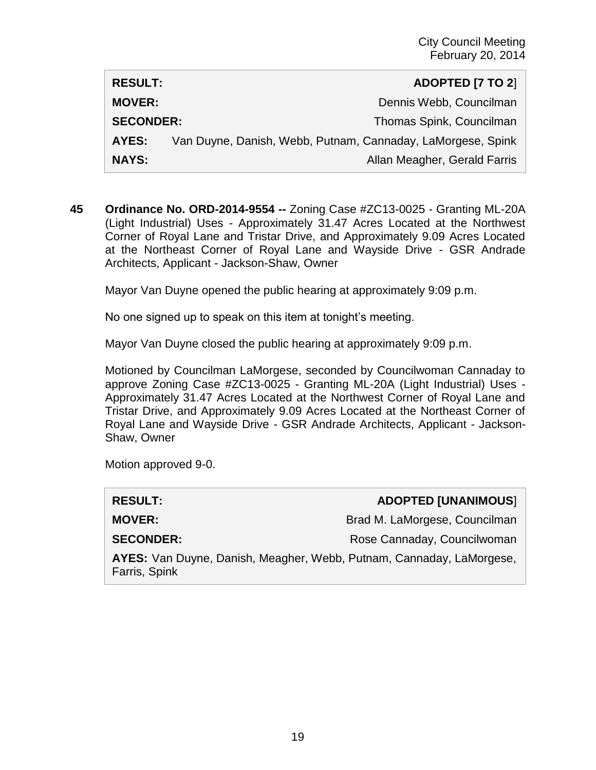| <b>RESULT:</b>   | <b>ADOPTED [7 TO 2]</b>                                     |
|------------------|-------------------------------------------------------------|
| <b>MOVER:</b>    | Dennis Webb, Councilman                                     |
| <b>SECONDER:</b> | Thomas Spink, Councilman                                    |
| AYES:            | Van Duyne, Danish, Webb, Putnam, Cannaday, LaMorgese, Spink |
| <b>NAYS:</b>     | Allan Meagher, Gerald Farris                                |

**45 Ordinance No. ORD-2014-9554 --** Zoning Case #ZC13-0025 - Granting ML-20A (Light Industrial) Uses - Approximately 31.47 Acres Located at the Northwest Corner of Royal Lane and Tristar Drive, and Approximately 9.09 Acres Located at the Northeast Corner of Royal Lane and Wayside Drive - GSR Andrade Architects, Applicant - Jackson-Shaw, Owner

Mayor Van Duyne opened the public hearing at approximately 9:09 p.m.

No one signed up to speak on this item at tonight's meeting.

Mayor Van Duyne closed the public hearing at approximately 9:09 p.m.

Motioned by Councilman LaMorgese, seconded by Councilwoman Cannaday to approve Zoning Case #ZC13-0025 - Granting ML-20A (Light Industrial) Uses - Approximately 31.47 Acres Located at the Northwest Corner of Royal Lane and Tristar Drive, and Approximately 9.09 Acres Located at the Northeast Corner of Royal Lane and Wayside Drive - GSR Andrade Architects, Applicant - Jackson-Shaw, Owner

Motion approved 9-0.

| <b>RESULT:</b>                                                                        | <b>ADOPTED [UNANIMOUS]</b>    |
|---------------------------------------------------------------------------------------|-------------------------------|
| <b>MOVER:</b>                                                                         | Brad M. LaMorgese, Councilman |
| <b>SECONDER:</b>                                                                      | Rose Cannaday, Councilwoman   |
| AYES: Van Duyne, Danish, Meagher, Webb, Putnam, Cannaday, LaMorgese,<br>Farris, Spink |                               |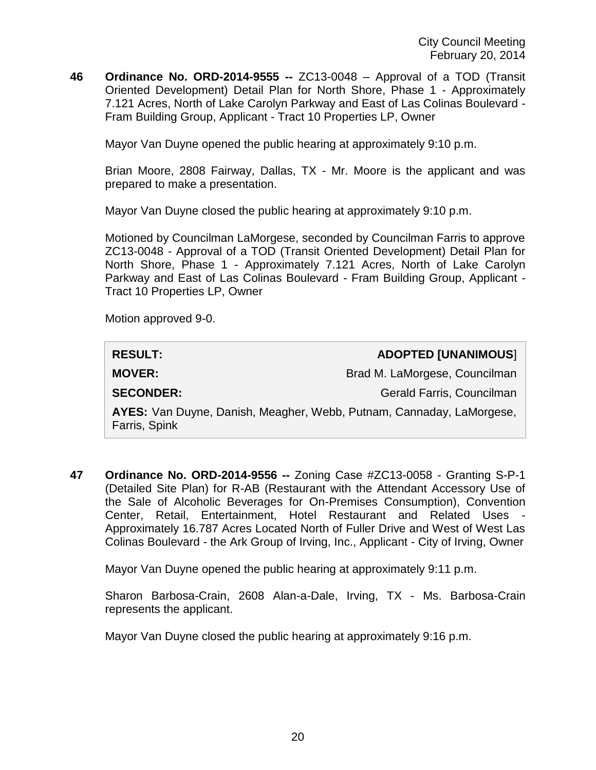**46 Ordinance No. ORD-2014-9555 --** ZC13-0048 – Approval of a TOD (Transit Oriented Development) Detail Plan for North Shore, Phase 1 - Approximately 7.121 Acres, North of Lake Carolyn Parkway and East of Las Colinas Boulevard - Fram Building Group, Applicant - Tract 10 Properties LP, Owner

Mayor Van Duyne opened the public hearing at approximately 9:10 p.m.

Brian Moore, 2808 Fairway, Dallas, TX - Mr. Moore is the applicant and was prepared to make a presentation.

Mayor Van Duyne closed the public hearing at approximately 9:10 p.m.

Motioned by Councilman LaMorgese, seconded by Councilman Farris to approve ZC13-0048 - Approval of a TOD (Transit Oriented Development) Detail Plan for North Shore, Phase 1 - Approximately 7.121 Acres, North of Lake Carolyn Parkway and East of Las Colinas Boulevard - Fram Building Group, Applicant - Tract 10 Properties LP, Owner

Motion approved 9-0.

| <b>RESULT:</b>                                                                        | <b>ADOPTED [UNANIMOUS]</b>    |  |
|---------------------------------------------------------------------------------------|-------------------------------|--|
| <b>MOVER:</b>                                                                         | Brad M. LaMorgese, Councilman |  |
| <b>SECONDER:</b>                                                                      | Gerald Farris, Councilman     |  |
| AYES: Van Duyne, Danish, Meagher, Webb, Putnam, Cannaday, LaMorgese,<br>Farris, Spink |                               |  |

**47 Ordinance No. ORD-2014-9556 --** Zoning Case #ZC13-0058 - Granting S-P-1 (Detailed Site Plan) for R-AB (Restaurant with the Attendant Accessory Use of the Sale of Alcoholic Beverages for On-Premises Consumption), Convention Center, Retail, Entertainment, Hotel Restaurant and Related Uses - Approximately 16.787 Acres Located North of Fuller Drive and West of West Las Colinas Boulevard - the Ark Group of Irving, Inc., Applicant - City of Irving, Owner

Mayor Van Duyne opened the public hearing at approximately 9:11 p.m.

Sharon Barbosa-Crain, 2608 Alan-a-Dale, Irving, TX - Ms. Barbosa-Crain represents the applicant.

Mayor Van Duyne closed the public hearing at approximately 9:16 p.m.